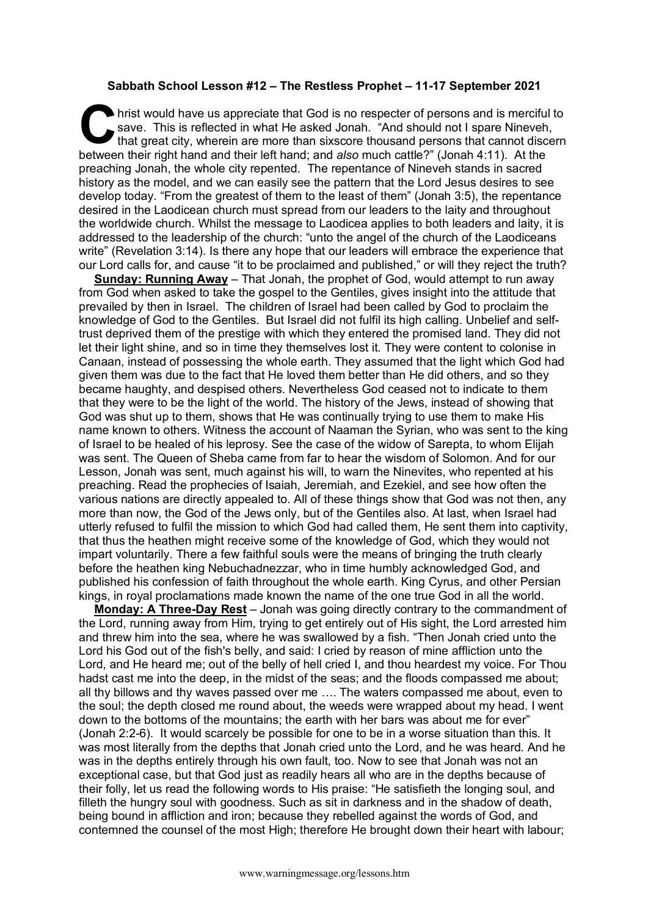## **Sabbath School Lesson #12 – The Restless Prophet – 11-17 September 2021**

hrist would have us appreciate that God is no respecter of persons and is merciful to save. This is reflected in what He asked Jonah. "And should not I spare Nineveh, that great city, wherein are more than sixscore thousand persons that cannot discern between their right hand and their left hand; and *also* much cattle?" (Jonah 4:11). At the between their right hand and their left hand; and *also* much cattle?" (Jonah 4:11). At the preaching Jonah, the whole city repented. The repentance of Nineveh stands in sacred history as the model, and we can easily see the pattern that the Lord Jesus desires to see develop today. "From the greatest of them to the least of them" (Jonah 3:5), the repentance desired in the Laodicean church must spread from our leaders to the laity and throughout the worldwide church. Whilst the message to Laodicea applies to both leaders and laity, it is addressed to the leadership of the church: "unto the angel of the church of the Laodiceans write" (Revelation 3:14). Is there any hope that our leaders will embrace the experience that our Lord calls for, and cause "it to be proclaimed and published," or will they reject the truth?

**Sunday: Running Away** – That Jonah, the prophet of God, would attempt to run away from God when asked to take the gospel to the Gentiles, gives insight into the attitude that prevailed by then in Israel. The children of Israel had been called by God to proclaim the knowledge of God to the Gentiles. But Israel did not fulfil its high calling. Unbelief and selftrust deprived them of the prestige with which they entered the promised land. They did not let their light shine, and so in time they themselves lost it. They were content to colonise in Canaan, instead of possessing the whole earth. They assumed that the light which God had given them was due to the fact that He loved them better than He did others, and so they became haughty, and despised others. Nevertheless God ceased not to indicate to them that they were to be the light of the world. The history of the Jews, instead of showing that God was shut up to them, shows that He was continually trying to use them to make His name known to others. Witness the account of Naaman the Syrian, who was sent to the king of Israel to be healed of his leprosy. See the case of the widow of Sarepta, to whom Elijah was sent. The Queen of Sheba came from far to hear the wisdom of Solomon. And for our Lesson, Jonah was sent, much against his will, to warn the Ninevites, who repented at his preaching. Read the prophecies of Isaiah, Jeremiah, and Ezekiel, and see how often the various nations are directly appealed to. All of these things show that God was not then, any more than now, the God of the Jews only, but of the Gentiles also. At last, when Israel had utterly refused to fulfil the mission to which God had called them, He sent them into captivity, that thus the heathen might receive some of the knowledge of God, which they would not impart voluntarily. There a few faithful souls were the means of bringing the truth clearly before the heathen king Nebuchadnezzar, who in time humbly acknowledged God, and published his confession of faith throughout the whole earth. King Cyrus, and other Persian kings, in royal proclamations made known the name of the one true God in all the world.

**Monday: A Three-Day Rest** – Jonah was going directly contrary to the commandment of the Lord, running away from Him, trying to get entirely out of His sight, the Lord arrested him and threw him into the sea, where he was swallowed by a fish. "Then Jonah cried unto the Lord his God out of the fish's belly, and said: I cried by reason of mine affliction unto the Lord, and He heard me; out of the belly of hell cried I, and thou heardest my voice. For Thou hadst cast me into the deep, in the midst of the seas; and the floods compassed me about; all thy billows and thy waves passed over me …. The waters compassed me about, even to the soul; the depth closed me round about, the weeds were wrapped about my head. I went down to the bottoms of the mountains; the earth with her bars was about me for ever" (Jonah 2:2-6). It would scarcely be possible for one to be in a worse situation than this. It was most literally from the depths that Jonah cried unto the Lord, and he was heard. And he was in the depths entirely through his own fault, too. Now to see that Jonah was not an exceptional case, but that God just as readily hears all who are in the depths because of their folly, let us read the following words to His praise: "He satisfieth the longing soul, and filleth the hungry soul with goodness. Such as sit in darkness and in the shadow of death, being bound in affliction and iron; because they rebelled against the words of God, and contemned the counsel of the most High; therefore He brought down their heart with labour;